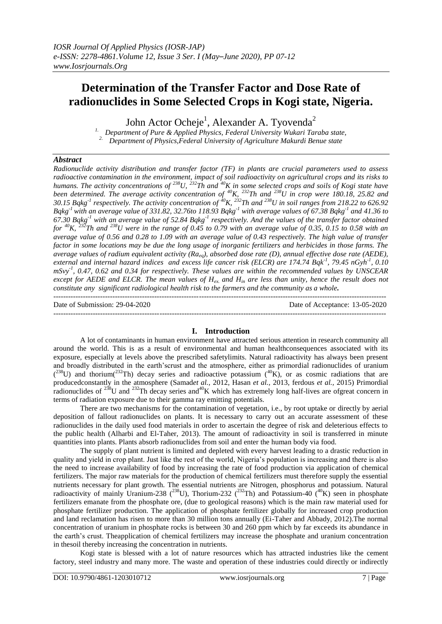# **Determination of the Transfer Factor and Dose Rate of radionuclides in Some Selected Crops in Kogi state, Nigeria.**

John Actor Ocheje<sup>1</sup>, Alexander A. Tyovenda<sup>2</sup>

*1. Department of Pure & Applied Physics, Federal University Wukari Taraba state,* <sup>2.</sup> *Department of Physics, Federal University of Agriculture Makurdi Benue state* 

## *Abstract*

*Radionuclide activity distribution and transfer factor (TF) in plants are crucial parameters used to assess radioactive contamination in the environment, impact of soil radioactivity on agricultural crops and its risks to humans. The activity concentrations of <sup>238</sup>U, <sup>232</sup>Th and <sup>40</sup>K in some selected crops and soils of Kogi state have been determined. The average activity concentration of <sup>40</sup>K, <sup>232</sup>Th and <sup>238</sup>U in crop were 180.18, 25.82 and 30.15 Bqkg-1 respectively. The activity concentration of <sup>40</sup>K, <sup>232</sup>Th and <sup>238</sup>U in soil ranges from 218.22 to 626.92 Bqkg-1 with an average value of 331.82, 32.76to 118.93 Bqkg-1 with average values of 67.38 Bqkg-1 and 41.36 to 67.30 Bqkg-1 with an average value of 52.84 Bqkg-1 respectively. And the values of the transfer factor obtained for <sup>40</sup>K, <sup>232</sup>Th and <sup>238</sup>U were in the range of 0.45 to 0.79 with an average value of 0.35, 0.15 to 0.58 with an average value of 0.56 and 0.28 to 1.09 with an average value of 0.43 respectively. The high value of transfer factor in some locations may be due the long usage of inorganic fertilizers and herbicides in those farms. The average values of radium equivalent activity (Raeq), absorbed dose rate (D), annual effective dose rate (AEDE), external and internal hazard indices and excess life cancer risk (ELCR) are 174.74 Bqk-1 , 79.45 nGyh-1 , 0.10 mSvy-1 , 0.47, 0.62 and 0.34 for respectively. These values are within the recommended values by UNSCEAR except for AEDE and ELCR. The mean values of Hex. and Hin are less than unity, hence the result does not constitute any significant radiological health risk to the farmers and the community as a whole.* ---------------------------------------------------------------------------------------------------------------------------------------

Date of Submission: 29-04-2020 Date of Acceptance: 13-05-2020

#### ---------------------------------------------------------------------------------------------------------------------------------------

#### **I. Introduction**

A lot of contaminants in human environment have attracted serious attention in research community all around the world. This is as a result of environmental and human healthconsequences associated with its exposure, especially at levels above the prescribed safetylimits. Natural radioactivity has always been present and broadly distributed in the earth'scrust and the atmosphere, either as primordial radionuclides of uranium  $(238)$  and thorium( $232$ Th) decay series and radioactive potassium  $(40)$ K), or as cosmic radiations that are producedconstantly in the atmosphere (Samad*et al.,* 2012, Hasan *et al.,* 2013, ferdous *et al.,* 2015) Primordial radionuclides of <sup>238</sup>U and <sup>232</sup>Th decay series and<sup>40</sup>K which has extremely long half-lives are ofgreat concern in terms of radiation exposure due to their gamma ray emitting potentials.

There are two mechanisms for the contamination of vegetation, i.e., by root uptake or directly by aerial deposition of fallout radionuclides on plants. It is necessary to carry out an accurate assessment of these radionuclides in the daily used food materials in order to ascertain the degree of risk and deleterious effects to the public health (Alharbi and El-Taher, 2013). The amount of radioactivity in soil is transferred in minute quantities into plants. Plants absorb radionuclides from soil and enter the human body via food.

The supply of plant nutrient is limited and depleted with every harvest leading to a drastic reduction in quality and yield in crop plant. Just like the rest of the world, Nigeria's population is increasing and there is also the need to increase availability of food by increasing the rate of food production via application of chemical fertilizers. The major raw materials for the production of chemical fertilizers must therefore supply the essential nutrients necessary for plant growth. The essential nutrients are Nitrogen, phosphorus and potassium. Natural radioactivity of mainly Uranium-238 ( $^{238}$ U), Thorium-232 ( $^{232}$ Th) and Potassium-40 ( $^{40}$ K) seen in phosphate fertilizers emanate from the phosphate ore, (due to geological reasons) which is the main raw material used for phosphate fertilizer production. The application of phosphate fertilizer globally for increased crop production and land reclamation has risen to more than 30 million tons annually (Ei-Taher and Abbady, 2012).The normal concentration of uranium in phosphate rocks is between 30 and 260 ppm which by far exceeds its abundance in the earth's crust. Theapplication of chemical fertilizers may increase the phosphate and uranium concentration in thesoil thereby increasing the concentration in nutrients.

Kogi state is blessed with a lot of nature resources which has attracted industries like the cement factory, steel industry and many more. The waste and operation of these industries could directly or indirectly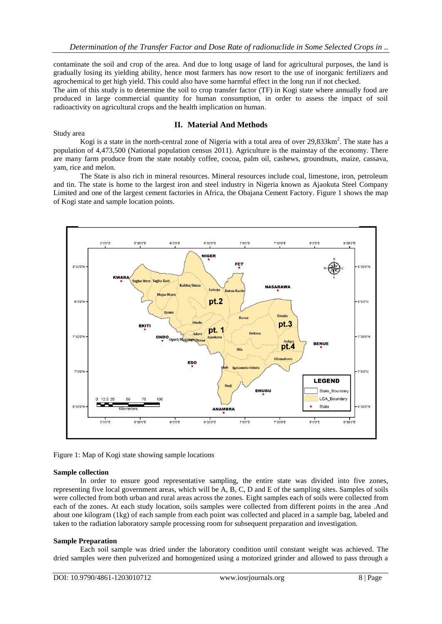contaminate the soil and crop of the area. And due to long usage of land for agricultural purposes, the land is gradually losing its yielding ability, hence most farmers has now resort to the use of inorganic fertilizers and agrochemical to get high yield. This could also have some harmful effect in the long run if not checked.

The aim of this study is to determine the soil to crop transfer factor (TF) in Kogi state where annually food are produced in large commercial quantity for human consumption, in order to assess the impact of soil radioactivity on agricultural crops and the health implication on human.

# Study area

#### **II. Material And Methods**

Kogi is a state in the north-central zone of Nigeria with a total area of over  $29,833 \text{km}^2$ . The state has a population of 4,473,500 (National population census 2011). Agriculture is the mainstay of the economy. There are many farm produce from the state notably coffee, cocoa, palm oil, cashews, groundnuts, maize, cassava, yam, rice and melon.

The State is also rich in mineral resources. Mineral resources include coal, limestone, iron, petroleum and tin. The state is home to the largest iron and steel industry in Nigeria known as Ajaokuta Steel Company Limited and one of the largest cement factories in Africa, the Obajana Cement Factory. Figure 1 shows the map of Kogi state and sample location points.



Figure 1: Map of Kogi state showing sample locations

#### **Sample collection**

In order to ensure good representative sampling, the entire state was divided into five zones, representing five local government areas, which will be A, B, C, D and E of the sampling sites. Samples of soils were collected from both urban and rural areas across the zones. Eight samples each of soils were collected from each of the zones. At each study location, soils samples were collected from different points in the area .And about one kilogram (1kg) of each sample from each point was collected and placed in a sample bag, labeled and taken to the radiation laboratory sample processing room for subsequent preparation and investigation.

#### **Sample Preparation**

Each soil sample was dried under the laboratory condition until constant weight was achieved. The dried samples were then pulverized and homogenized using a motorized grinder and allowed to pass through a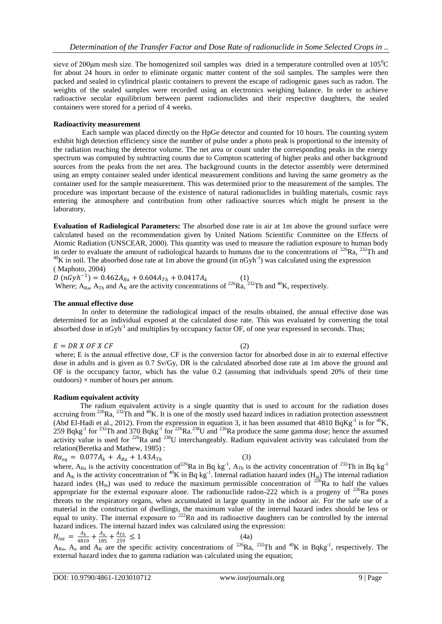sieve of 200 $\mu$ m mesh size. The homogenized soil samples was dried in a temperature controlled oven at  $105^{\circ}$ C for about 24 hours in order to eliminate organic matter content of the soil samples. The samples were then packed and sealed in cylindrical plastic containers to prevent the escape of radiogenic gases such as radon. The weights of the sealed samples were recorded using an electronics weighing balance. In order to achieve radioactive secular equilibrium between parent radionuclides and their respective daughters, the sealed containers were stored for a period of 4 weeks.

## **Radioactivity measurement**

Each sample was placed directly on the HpGe detector and counted for 10 hours. The counting system exhibit high detection efficiency since the number of pulse under a photo peak is proportional to the intensity of the radiation reaching the detector volume. The net area or count under the corresponding peaks in the energy spectrum was computed by subtracting counts due to Compton scattering of higher peaks and other background sources from the peaks from the net area. The background counts in the detector assembly were determined using an empty container sealed under identical measurement conditions and having the same geometry as the container used for the sample measurement. This was determined prior to the measurement of the samples. The procedure was important because of the existence of natural radionuclides in building materials, cosmic rays entering the atmosphere and contribution from other radioactive sources which might be present in the laboratory.

**Evaluation of Radiological Parameters:** The absorbed dose rate in air at 1m above the ground surface were calculated based on the recommendation given by United Nations Scientific Committee on the Effects of Atomic Radiation (UNSCEAR, 2000). This quantity was used to measure the radiation exposure to human body in order to evaluate the amount of radiological hazards to humans due to the concentrations of  $^{226}Ra$ ,  $^{232}Th$  and <sup>40</sup>K in soil. The absorbed dose rate at 1m above the ground (in nGyh<sup>-1</sup>) was calculated using the expression ( Maphoto, 2004)

 $D (nGyh^{-1}) = 0.462A_{Ra} + 0.604A_{Th} + 0.0417A_k$  (1) Where;  $A_{Ra}$ ,  $A_{Th}$  and  $A_K$  are the activity concentrations of <sup>226</sup>Ra, <sup>232</sup>Th and <sup>40</sup>K, respectively.

## **The annual effective dose**

In order to determine the radiological impact of the results obtained, the annual effective dose was determined for an individual exposed at the calculated dose rate. This was evaluated by converting the total absorbed dose in nGyh<sup>-1</sup> and multiplies by occupancy factor OF, of one year expressed in seconds. Thus;

 $E = DR X OF X CF$  (2)

where; E is the annual effective dose, CF is the conversion factor for absorbed dose in air to external effective dose in adults and is given as 0.7 Sv/Gy, DR is the calculated absorbed dose rate at 1m above the ground and OF is the occupancy factor, which has the value 0.2 (assuming that individuals spend 20% of their time  $out doors) \times number of hours per annum.$ 

# **Radium equivalent activity**

The radium equivalent activity is a single quantity that is used to account for the radiation doses accruing from <sup>226</sup>Ra, <sup>232</sup>Th and <sup>40</sup>K. It is one of the mostly used hazard indices in radiation protection assessment (Abd El-Hadi et al., 2012). From the expression in equation 3, it has been assumed that  $4810 B qKg^{-1}$  is for  $^{40}K$ , 259 Bqkg<sup>-1</sup> for <sup>232</sup>Th and 370 Bqkg<sup>-1</sup> for <sup>226</sup>Ra.<sup>238</sup>U and <sup>226</sup>Ra produce the same gamma dose; hence the assumed activity value is used for  $^{226}$ Ra and  $^{238}$ U interchangeably. Radium equivalent activity was calculated from the relation(Beretka and Mathew, 1985) :

$$
Ra_{eq} = 0.077A_k + A_{Ra} + 1.43A_{Th}
$$
 (3)

where, A<sub>Ra</sub> is the activity concentration of <sup>226</sup>Ra in Bq kg<sup>-1</sup>, A<sub>Th</sub> is the activity concentration of <sup>232</sup>Th in Bq kg<sup>-1</sup> and  $A_K$  is the activity concentration of <sup>40</sup>K in Bq kg<sup>-1</sup>. Internal radiation hazard index (H<sub>in</sub>) The internal radiation hazard index  $(H_{in})$  was used to reduce the maximum permissible concentration of <sup>226</sup>Ra to half the values appropriate for the external exposure alone. The radionuclide radon-222 which is a progeny of  $^{226}$ Ra poses threats to the respiratory organs, when accumulated in large quantity in the indoor air. For the safe use of a material in the construction of dwellings, the maximum value of the internal hazard index should be less or equal to unity. The internal exposure to  $222$ Rn and its radioactive daughters can be controlled by the internal hazard indices. The internal hazard index was calculated using the expression:

$$
H_{int} = \frac{A_k}{4810} + \frac{A_u}{185} + \frac{A_{Th}}{259} \le 1
$$
\n(4a)

 $A_{\text{Ra}}$ ,  $A_u$  and  $A_K$  are the specific activity concentrations of <sup>226</sup>Ra, <sup>232</sup>Th and <sup>40</sup>K in Bqkg<sup>-1</sup>, respectively. The external hazard index due to gamma radiation was calculated using the equation;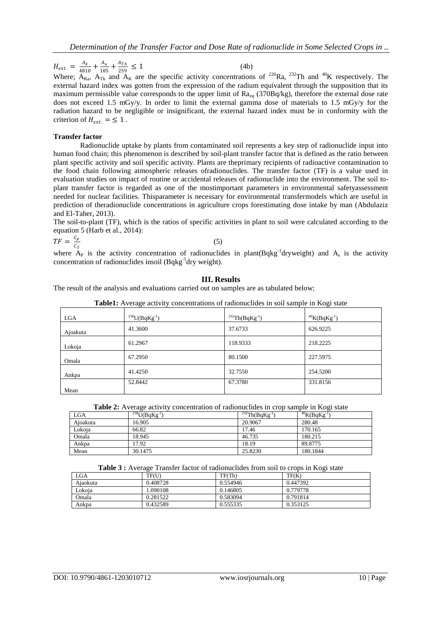$H_{ext.} = \frac{A_k}{481}$  $\frac{A_k}{4810} + \frac{A_u}{185}$  $\frac{A_u}{185} + \frac{A_{Th}}{259}$  $rac{A_{Th}}{259} \le 1$  (4b) Where;  $A_{\text{Ra}}$ ,  $A_{\text{Th}}$  and  $A_{\text{K}}$  are the specific activity concentrations of <sup>226</sup>Ra, <sup>232</sup>Th and <sup>40</sup>K respectively. The external hazard index was gotten from the expression of the radium equivalent through the supposition that its maximum permissible value corresponds to the upper limit of  $Ra_{eq}$  (370Bq/kg), therefore the external dose rate does not exceed 1.5 mGy/y. In order to limit the external gamma dose of materials to 1.5 mGy/y for the radiation hazard to be negligible or insignificant, the external hazard index must be in conformity with the criterion of  $H_{ext} = \leq 1$ .

#### **Transfer factor**

Radionuclide uptake by plants from contaminated soil represents a key step of radionuclide input into human food chain; this phenomenon is described by soil-plant transfer factor that is defined as the ratio between plant specific activity and soil specific activity. Plants are theprimary recipients of radioactive contamination to the food chain following atmospheric releases ofradionuclides. The transfer factor (TF) is a value used in evaluation studies on impact of routine or accidental releases of radionuclide into the environment. The soil toplant transfer factor is regarded as one of the mostimportant parameters in environmental safetyassessment needed for nuclear facilities. Thisparameter is necessary for environmental transfermodels which are useful in prediction of theradionuclide concentrations in agriculture crops forestimating dose intake by man (Abdulaziz and El-Taher, 2013).

The soil-to-plant (TF), which is the ratios of specific activities in plant to soil were calculated according to the equation 5 (Harb et al., 2014):

$$
TF = \frac{C_p}{C_s}
$$

(5)

where  $A_P$  is the activity concentration of radionuclides in plant(Bqkg<sup>-1</sup>dryweight) and  $A_s$  is the activity concentration of radionuclides insoil (Bqkg<sup>-1</sup>dry weight).

# **III. Results**

The result of the analysis and evaluations carried out on samples are as tabulated below;

| <b>THOICE:</b> THOIGH GOILING CONCENTRATIONS OF HUMOHUCSINGS IN SON SUMPLY IN 11951 SURV |                      |                       |                             |  |
|------------------------------------------------------------------------------------------|----------------------|-----------------------|-----------------------------|--|
| LGA                                                                                      | $^{238}U(BqKg^{-1})$ | $^{232}Th(BqKg^{-1})$ | $40$ K(BqKg <sup>-1</sup> ) |  |
| Ajoakuta                                                                                 | 41.3600              | 37.6733               | 626.9225                    |  |
| Lokoja                                                                                   | 61.2967              | 118.9333              | 218.2225                    |  |
| Omala                                                                                    | 67.2950              | 80.1500               | 227.5975                    |  |
| Ankpa                                                                                    | 41.4250              | 32.7550               | 254.5200                    |  |
| Mean                                                                                     | 52.8442              | 67.3780               | 331.8156                    |  |

**Table1:** Average activity concentrations of radionuclides in soil sample in Kogi state

| <b>Table 2:</b> Average activity concentration of radionuclides in crop sample in Kogi state |  |
|----------------------------------------------------------------------------------------------|--|
|                                                                                              |  |

| LGA      | $^{238}U(BqKg^{-1})$ | $^{232}Th(BqKg^{-1})$ | $^{40}$ K(BqKg <sup>-1</sup> ) |
|----------|----------------------|-----------------------|--------------------------------|
| Aioakuta | 16.905               | 20.9067               | 280.48                         |
| Lokoja   | 66.82                | 17.46                 | 170.165                        |
| Omala    | 18.945               | 46.735                | 180.215                        |
| Ankpa    | 17.92                | 18.19                 | 89.8775                        |
| Mean     | 30.1475              | 25.8230               | 180.1844                       |

| Table 3 : Average Transfer factor of radionuclides from soil to crops in Kogi state |  |
|-------------------------------------------------------------------------------------|--|
|                                                                                     |  |

| <b>LGA</b> | TF(U)    | TF(Th)   | TF(K)    |
|------------|----------|----------|----------|
| Aiaokuta   | 0.408728 | 0.554946 | 0.447392 |
| Lokoia     | .090108  | 0.146805 | 0.779778 |
| Omala      | 0.281522 | 0.583094 | 0.791814 |
| Ankpa      | 0.432589 | 0.555335 | 0.353125 |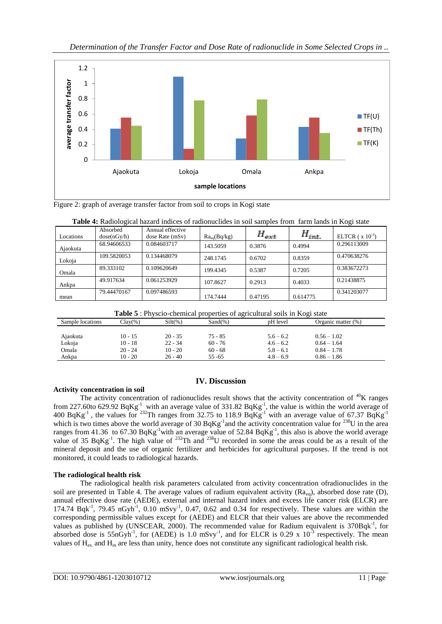

Figure 2: graph of average transfer factor from soil to crops in Kogi state

|           | Absorbed    | Annual effective |                  |           |            |                     |
|-----------|-------------|------------------|------------------|-----------|------------|---------------------|
| Locations | dose(nGy/h) | dose Rate (mSv)  | $Ra_{eq}(Bq/kg)$ | $H_{ext}$ | $H_{int.}$ | ELTCR $(x 10^{-3})$ |
| Ajaokuta  | 68.94606533 | 0.084603717      | 143.5059         | 0.3876    | 0.4994     | 0.296113009         |
| Lokoja    | 109.5820053 | 0.134468079      | 248.1745         | 0.6702    | 0.8359     | 0.470638276         |
| Omala     | 89.333102   | 0.109620649      | 199.4345         | 0.5387    | 0.7205     | 0.383672273         |
| Ankpa     | 49.917634   | 0.061253929      | 107.8627         | 0.2913    | 0.4033     | 0.21438875          |
| mean      | 79.44470167 | 0.097486593      | 174.7444         | 0.47195   | 0.614775   | 0.341203077         |

| Table 5 : Physcio-chemical properties of agricultural soils in Kogi state |  |
|---------------------------------------------------------------------------|--|
|---------------------------------------------------------------------------|--|

| Sample locations | $Clav(\%)$ | $Silt(\%)$ | $Sand(\% )$ | pH level    | Organic matter $(\%)$ |
|------------------|------------|------------|-------------|-------------|-----------------------|
|                  |            |            |             |             |                       |
| Ajaokuta         | $10 - 15$  | $20 - 35$  | 75 - 85     | $5.6 - 6.2$ | $0.56 - 1.02$         |
| Lokoja           | $10 - 18$  | $22 - 34$  | $60 - 76$   | $4.6 - 6.2$ | $0.64 - 1.64$         |
| Omala            | $20 - 24$  | $10 - 20$  | $60 - 68$   | $5.8 - 6.1$ | $0.84 - 1.78$         |
| Ankpa            | $10 - 20$  | $26 - 40$  | $55 - 65$   | $4.8 - 6.9$ | $0.86 - 1.86$         |

# **IV. Discussion**

# **Activity concentration in soil**

The activity concentration of radionuclides result shows that the activity concentration of  ${}^{40}$ K ranges from 227.60to 629.92 BqKg<sup>-1</sup> with an average value of 331.82 BqKg<sup>-1</sup>, the value is within the world average of 400 BqKg<sup>-1</sup>, the values for <sup>232</sup>Th ranges from 32.75 to 118.9 BqKg<sup>-1</sup> with an average value of 67.37 BqKg<sup>-1</sup> which is two times above the world average of 30  $BqKg^{-1}$  and the activity concentration value for <sup>238</sup>U in the area ranges from 41.36 to 67.30  $BqKg^{-1}$  with an average value of 52.84  $BqKg^{-1}$ , this also is above the world average value of 35 BqKg<sup>-1</sup>. The high value of <sup>232</sup>Th and <sup>238</sup>U recorded in some the areas could be as a result of the mineral deposit and the use of organic fertilizer and herbicides for agricultural purposes. If the trend is not monitored, it could leads to radiological hazards.

# **The radiological health risk**

The radiological health risk parameters calculated from activity concentration ofradionuclides in the soil are presented in Table 4. The average values of radium equivalent activity  $(Ra_{eq})$ , absorbed dose rate (D), annual effective dose rate (AEDE), external and internal hazard index and excess life cancer risk (ELCR) are 174.74 Bqk<sup>-1</sup>, 79.45 nGyh<sup>-1</sup>, 0.10 mSvy<sup>-1</sup>, 0.47, 0.62 and 0.34 for respectively. These values are within the corresponding permissible values except for (AEDE) and ELCR that their values are above the recommended values as published by (UNSCEAR, 2000). The recommended value for Radium equivalent is 370Bqk<sup>-1</sup>, for absorbed dose is 55nGyh<sup>-1</sup>, for (AEDE) is 1.0 mSvy<sup>-1</sup>, and for ELCR is 0.29 x 10<sup>-3</sup> respectively. The mean values of Hex. and Hin are less than unity, hence does not constitute any significant radiological health risk.